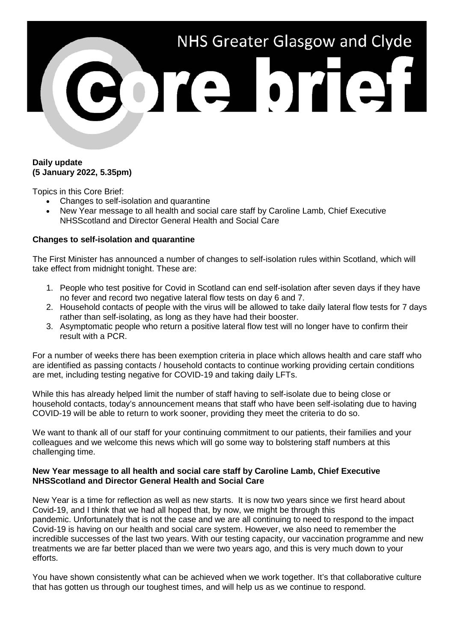

## **Daily update (5 January 2022, 5.35pm)**

Topics in this Core Brief:

- Changes to self-isolation and quarantine
- New Year message to all health and social care staff by Caroline Lamb, Chief Executive NHSScotland and Director General Health and Social Care

## **Changes to self-isolation and quarantine**

The First Minister has announced a number of changes to self-isolation rules within Scotland, which will take effect from midnight tonight. These are:

- 1. People who test positive for Covid in Scotland can end self-isolation after seven days if they have no fever and record two negative lateral flow tests on day 6 and 7.
- 2. Household contacts of people with the virus will be allowed to take daily lateral flow tests for 7 days rather than self-isolating, as long as they have had their booster.
- 3. Asymptomatic people who return a positive lateral flow test will no longer have to confirm their result with a PCR.

For a number of weeks there has been exemption criteria in place which allows health and care staff who are identified as passing contacts / household contacts to continue working providing certain conditions are met, including testing negative for COVID-19 and taking daily LFTs.

While this has already helped limit the number of staff having to self-isolate due to being close or household contacts, today's announcement means that staff who have been self-isolating due to having COVID-19 will be able to return to work sooner, providing they meet the criteria to do so.

We want to thank all of our staff for your continuing commitment to our patients, their families and your colleagues and we welcome this news which will go some way to bolstering staff numbers at this challenging time.

## **New Year message to all health and social care staff by Caroline Lamb, Chief Executive NHSScotland and Director General Health and Social Care**

New Year is a time for reflection as well as new starts. It is now two years since we first heard about Covid-19, and I think that we had all hoped that, by now, we might be through this pandemic. Unfortunately that is not the case and we are all continuing to need to respond to the impact Covid-19 is having on our health and social care system. However, we also need to remember the incredible successes of the last two years. With our testing capacity, our vaccination programme and new treatments we are far better placed than we were two years ago, and this is very much down to your efforts.

You have shown consistently what can be achieved when we work together. It's that collaborative culture that has gotten us through our toughest times, and will help us as we continue to respond.